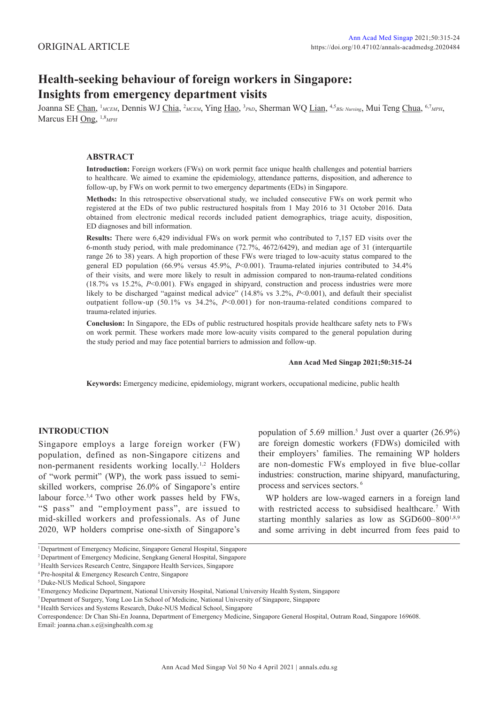# **Health-seeking behaviour of foreign workers in Singapore: Insights from emergency department visits**

Joanna SE Chan, 1 *MCEM*, Dennis WJ Chia, 2 *MCEM*, Ying Hao, 3 *PhD*, Sherman WQ Lian, 4,5*BSc Nursing*, Mui Teng Chua, 6,7*MPH*, Marcus EH Ong, 1,8*MPH*

#### **ABSTRACT**

**Introduction:** Foreign workers (FWs) on work permit face unique health challenges and potential barriers to healthcare. We aimed to examine the epidemiology, attendance patterns, disposition, and adherence to follow-up, by FWs on work permit to two emergency departments (EDs) in Singapore.

**Methods:** In this retrospective observational study, we included consecutive FWs on work permit who registered at the EDs of two public restructured hospitals from 1 May 2016 to 31 October 2016. Data obtained from electronic medical records included patient demographics, triage acuity, disposition, ED diagnoses and bill information.

**Results:** There were 6,429 individual FWs on work permit who contributed to 7,157 ED visits over the 6-month study period, with male predominance (72.7%, 4672/6429), and median age of 31 (interquartile range 26 to 38) years. A high proportion of these FWs were triaged to low-acuity status compared to the general ED population (66.9% versus 45.9%, *P*<0.001). Trauma-related injuries contributed to 34.4% of their visits, and were more likely to result in admission compared to non-trauma-related conditions (18.7% vs 15.2%, *P*<0.001). FWs engaged in shipyard, construction and process industries were more likely to be discharged "against medical advice" (14.8% vs 3.2%, P<0.001), and default their specialist outpatient follow-up (50.1% vs 34.2%, *P*<0.001) for non-trauma-related conditions compared to trauma-related injuries.

**Conclusion:** In Singapore, the EDs of public restructured hospitals provide healthcare safety nets to FWs on work permit. These workers made more low-acuity visits compared to the general population during the study period and may face potential barriers to admission and follow-up.

#### **Ann Acad Med Singap 2021;50:315-24**

**Keywords:** Emergency medicine, epidemiology, migrant workers, occupational medicine, public health

## **INTRODUCTION**

Singapore employs a large foreign worker (FW) population, defined as non-Singapore citizens and non-permanent residents working locally.1,2 Holders of "work permit" (WP), the work pass issued to semiskilled workers, comprise 26.0% of Singapore's entire labour force.3,4 Two other work passes held by FWs, "S pass" and "employment pass", are issued to mid-skilled workers and professionals. As of June 2020, WP holders comprise one-sixth of Singapore's

population of 5.69 million.<sup>5</sup> Just over a quarter  $(26.9\%)$ are foreign domestic workers (FDWs) domiciled with their employers' families. The remaining WP holders are non-domestic FWs employed in five blue-collar industries: construction, marine shipyard, manufacturing, process and services sectors. 6

WP holders are low-waged earners in a foreign land with restricted access to subsidised healthcare.<sup>7</sup> With starting monthly salaries as low as SGD600–800<sup>1,8,9</sup> and some arriving in debt incurred from fees paid to

Correspondence: Dr Chan Shi-En Joanna, Department of Emergency Medicine, Singapore General Hospital, Outram Road, Singapore 169608. Email: joanna.chan.s.e@singhealth.com.sg

<sup>&</sup>lt;sup>1</sup> Department of Emergency Medicine, Singapore General Hospital, Singapore

<sup>2</sup> Department of Emergency Medicine, Sengkang General Hospital, Singapore

<sup>3</sup> Health Services Research Centre, Singapore Health Services, Singapore

<sup>4</sup> Pre-hospital & Emergency Research Centre, Singapore

<sup>5</sup> Duke-NUS Medical School, Singapore

<sup>6</sup> Emergency Medicine Department, National University Hospital, National University Health System, Singapore

<sup>7</sup> Department of Surgery, Yong Loo Lin School of Medicine, National University of Singapore, Singapore

<sup>&</sup>lt;sup>8</sup> Health Services and Systems Research, Duke-NUS Medical School, Singapore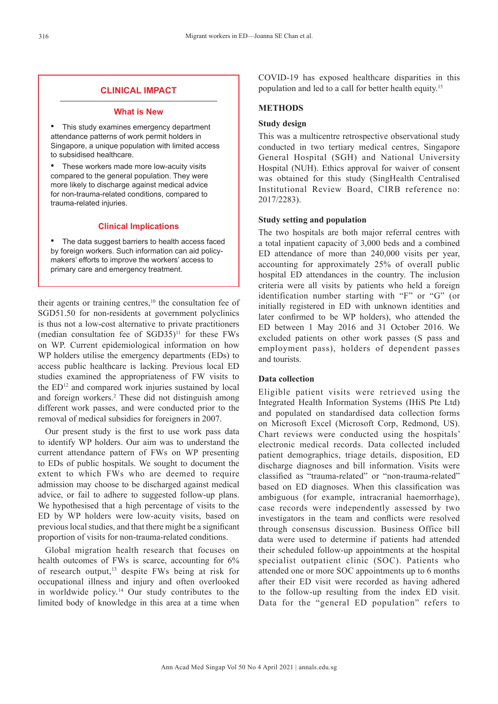# **CLINICAL IMPACT**

## **What is New**

This study examines emergency department attendance patterns of work permit holders in Singapore, a unique population with limited access to subsidised healthcare.

• These workers made more low-acuity visits compared to the general population. They were more likely to discharge against medical advice for non-trauma-related conditions, compared to trauma-related injuries.

# **Clinical Implications**

The data suggest barriers to health access faced by foreign workers. Such information can aid policymakers' efforts to improve the workers' access to primary care and emergency treatment.

their agents or training centres, $10$  the consultation fee of SGD51.50 for non-residents at government polyclinics is thus not a low-cost alternative to private practitioners (median consultation fee of  $SGD35$ )<sup>11</sup> for these FWs on WP. Current epidemiological information on how WP holders utilise the emergency departments (EDs) to access public healthcare is lacking. Previous local ED studies examined the appropriateness of FW visits to the ED<sup>12</sup> and compared work injuries sustained by local and foreign workers.<sup>2</sup> These did not distinguish among different work passes, and were conducted prior to the removal of medical subsidies for foreigners in 2007.

Our present study is the first to use work pass data to identify WP holders. Our aim was to understand the current attendance pattern of FWs on WP presenting to EDs of public hospitals. We sought to document the extent to which FWs who are deemed to require admission may choose to be discharged against medical advice, or fail to adhere to suggested follow-up plans. We hypothesised that a high percentage of visits to the ED by WP holders were low-acuity visits, based on previous local studies, and that there might be a significant proportion of visits for non-trauma-related conditions.

Global migration health research that focuses on health outcomes of FWs is scarce, accounting for 6% of research output,<sup>13</sup> despite FWs being at risk for occupational illness and injury and often overlooked in worldwide policy.14 Our study contributes to the limited body of knowledge in this area at a time when

COVID-19 has exposed healthcare disparities in this population and led to a call for better health equity.15

# **METHODS**

## **Study design**

This was a multicentre retrospective observational study conducted in two tertiary medical centres, Singapore General Hospital (SGH) and National University Hospital (NUH). Ethics approval for waiver of consent was obtained for this study (SingHealth Centralised Institutional Review Board, CIRB reference no: 2017/2283).

# **Study setting and population**

The two hospitals are both major referral centres with a total inpatient capacity of 3,000 beds and a combined ED attendance of more than 240,000 visits per year, accounting for approximately 25% of overall public hospital ED attendances in the country. The inclusion criteria were all visits by patients who held a foreign identification number starting with "F" or "G" (or initially registered in ED with unknown identities and later confirmed to be WP holders), who attended the ED between 1 May 2016 and 31 October 2016. We excluded patients on other work passes (S pass and employment pass), holders of dependent passes and tourists.

# **Data collection**

Eligible patient visits were retrieved using the Integrated Health Information Systems (IHiS Pte Ltd) and populated on standardised data collection forms on Microsoft Excel (Microsoft Corp, Redmond, US). Chart reviews were conducted using the hospitals' electronic medical records. Data collected included patient demographics, triage details, disposition, ED discharge diagnoses and bill information. Visits were classified as "trauma-related" or "non-trauma-related" based on ED diagnoses. When this classification was ambiguous (for example, intracranial haemorrhage), case records were independently assessed by two investigators in the team and conflicts were resolved through consensus discussion. Business Office bill data were used to determine if patients had attended their scheduled follow-up appointments at the hospital specialist outpatient clinic (SOC). Patients who attended one or more SOC appointments up to 6 months after their ED visit were recorded as having adhered to the follow-up resulting from the index ED visit. Data for the "general ED population" refers to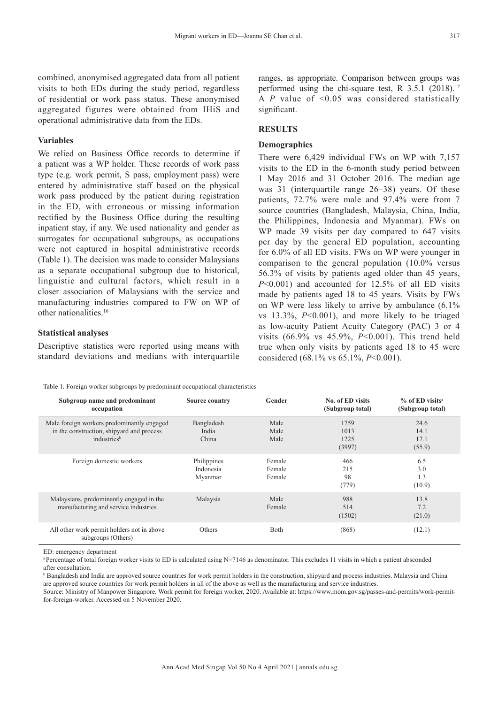combined, anonymised aggregated data from all patient visits to both EDs during the study period, regardless of residential or work pass status. These anonymised aggregated figures were obtained from IHiS and operational administrative data from the EDs.

## **Variables**

We relied on Business Office records to determine if a patient was a WP holder. These records of work pass type (e.g. work permit, S pass, employment pass) were entered by administrative staff based on the physical work pass produced by the patient during registration in the ED, with erroneous or missing information rectified by the Business Office during the resulting inpatient stay, if any. We used nationality and gender as surrogates for occupational subgroups, as occupations were not captured in hospital administrative records (Table 1). The decision was made to consider Malaysians as a separate occupational subgroup due to historical, linguistic and cultural factors, which result in a closer association of Malaysians with the service and manufacturing industries compared to FW on WP of other nationalities.16

### **Statistical analyses**

Descriptive statistics were reported using means with standard deviations and medians with interquartile ranges, as appropriate. Comparison between groups was performed using the chi-square test, R  $3.5.1$  (2018).<sup>17</sup> A *P* value of <0.05 was considered statistically significant.

#### **RESULTS**

#### **Demographics**

There were 6,429 individual FWs on WP with 7,157 visits to the ED in the 6-month study period between 1 May 2016 and 31 October 2016. The median age was 31 (interquartile range 26–38) years. Of these patients, 72.7% were male and 97.4% were from 7 source countries (Bangladesh, Malaysia, China, India, the Philippines, Indonesia and Myanmar). FWs on WP made 39 visits per day compared to 647 visits per day by the general ED population, accounting for 6.0% of all ED visits. FWs on WP were younger in comparison to the general population (10.0% versus 56.3% of visits by patients aged older than 45 years, *P*<0.001) and accounted for 12.5% of all ED visits made by patients aged 18 to 45 years. Visits by FWs on WP were less likely to arrive by ambulance (6.1% vs 13.3%, *P*<0.001), and more likely to be triaged as low-acuity Patient Acuity Category (PAC) 3 or 4 visits (66.9% vs 45.9%, *P*<0.001). This trend held true when only visits by patients aged 18 to 45 were considered (68.1% vs 65.1%, *P*<0.001).

| Table 1. Foreign worker subgroups by predominant occupational characteristics |  |  |  |  |
|-------------------------------------------------------------------------------|--|--|--|--|
|-------------------------------------------------------------------------------|--|--|--|--|

| Subgroup name and predominant<br>occupation                                                                        | <b>Source country</b>               | Gender                     | No. of ED visits<br>(Subgroup total) | $%$ of ED visits <sup>a</sup><br>(Subgroup total) |
|--------------------------------------------------------------------------------------------------------------------|-------------------------------------|----------------------------|--------------------------------------|---------------------------------------------------|
| Male foreign workers predominantly engaged<br>in the construction, shipyard and process<br>industries <sup>b</sup> | Bangladesh<br>India<br>China        | Male<br>Male<br>Male       | 1759<br>1013<br>1225<br>(3997)       | 24.6<br>14.1<br>17.1<br>(55.9)                    |
| Foreign domestic workers                                                                                           | Philippines<br>Indonesia<br>Myanmar | Female<br>Female<br>Female | 466<br>215<br>98<br>(779)            | 6.5<br>3.0<br>1.3<br>(10.9)                       |
| Malaysians, predominantly engaged in the<br>manufacturing and service industries                                   | Malaysia                            | Male<br>Female             | 988<br>514<br>(1502)                 | 13.8<br>7.2<br>(21.0)                             |
| All other work permit holders not in above<br>subgroups (Others)                                                   | Others                              | Both                       | (868)                                | (12.1)                                            |

ED: emergency department

<sup>a</sup> Percentage of total foreign worker visits to ED is calculated using  $N=7146$  as denominator. This excludes 11 visits in which a patient absconded after consultation.

**B** Bangladesh and India are approved source countries for work permit holders in the construction, shipyard and process industries. Malaysia and China are approved source countries for work permit holders in all of the above as well as the manufacturing and service industries.

Source: Ministry of Manpower Singapore. Work permit for foreign worker, 2020. Available at: https://www.mom.gov.sg/passes-and-permits/work-permitfor-foreign-worker. Accessed on 5 November 2020.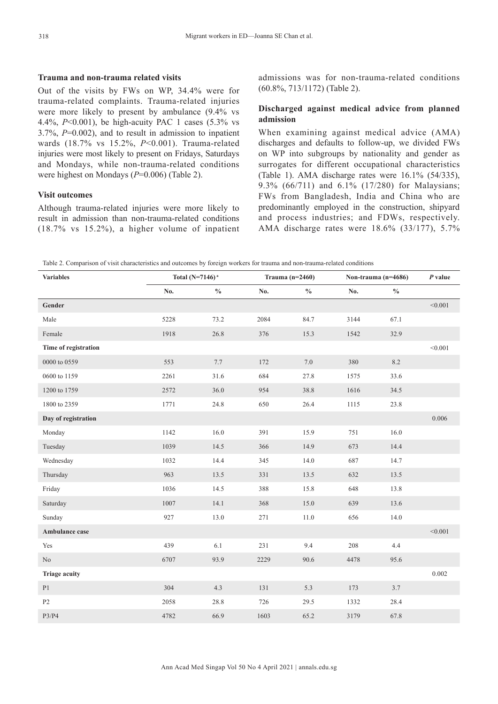## **Trauma and non-trauma related visits**

Out of the visits by FWs on WP, 34.4% were for trauma-related complaints. Trauma-related injuries were more likely to present by ambulance (9.4% vs 4.4%, *P*<0.001), be high-acuity PAC 1 cases (5.3% vs 3.7%, *P*=0.002), and to result in admission to inpatient wards (18.7% vs 15.2%, *P*<0.001). Trauma-related injuries were most likely to present on Fridays, Saturdays and Mondays, while non-trauma-related conditions were highest on Mondays (*P*=0.006) (Table 2).

#### **Visit outcomes**

Although trauma-related injuries were more likely to result in admission than non-trauma-related conditions (18.7% vs 15.2%), a higher volume of inpatient admissions was for non-trauma-related conditions (60.8%, 713/1172) (Table 2).

## **Discharged against medical advice from planned admission**

When examining against medical advice (AMA) discharges and defaults to follow-up, we divided FWs on WP into subgroups by nationality and gender as surrogates for different occupational characteristics (Table 1). AMA discharge rates were 16.1% (54/335), 9.3% (66/711) and 6.1% (17/280) for Malaysians; FWs from Bangladesh, India and China who are predominantly employed in the construction, shipyard and process industries; and FDWs, respectively. AMA discharge rates were 18.6% (33/177), 5.7%

Table 2. Comparison of visit characteristics and outcomes by foreign workers for trauma and non-trauma-related conditions

| <b>Variables</b>     | Total $(N=7146)$ <sup>a</sup><br>Trauma $(n=2460)$ |               |      | Non-trauma $(n=4686)$ |      | $P$ value     |           |
|----------------------|----------------------------------------------------|---------------|------|-----------------------|------|---------------|-----------|
|                      | No.                                                | $\frac{0}{0}$ | No.  | $\frac{0}{0}$         | No.  | $\frac{0}{0}$ |           |
| Gender               |                                                    |               |      |                       |      |               | < 0.001   |
| Male                 | 5228                                               | 73.2          | 2084 | 84.7                  | 3144 | 67.1          |           |
| Female               | 1918                                               | 26.8          | 376  | 15.3                  | 1542 | 32.9          |           |
| Time of registration |                                                    |               |      |                       |      |               | < 0.001   |
| 0000 to 0559         | 553                                                | 7.7           | 172  | 7.0                   | 380  | 8.2           |           |
| 0600 to 1159         | 2261                                               | 31.6          | 684  | 27.8                  | 1575 | 33.6          |           |
| 1200 to 1759         | 2572                                               | 36.0          | 954  | 38.8                  | 1616 | 34.5          |           |
| 1800 to 2359         | 1771                                               | 24.8          | 650  | 26.4                  | 1115 | 23.8          |           |
| Day of registration  |                                                    |               |      |                       |      |               | $0.006\,$ |
| Monday               | 1142                                               | 16.0          | 391  | 15.9                  | 751  | 16.0          |           |
| Tuesday              | 1039                                               | 14.5          | 366  | 14.9                  | 673  | 14.4          |           |
| Wednesday            | 1032                                               | 14.4          | 345  | 14.0                  | 687  | 14.7          |           |
| Thursday             | 963                                                | 13.5          | 331  | 13.5                  | 632  | 13.5          |           |
| Friday               | 1036                                               | 14.5          | 388  | 15.8                  | 648  | 13.8          |           |
| Saturday             | 1007                                               | 14.1          | 368  | 15.0                  | 639  | 13.6          |           |
| Sunday               | 927                                                | 13.0          | 271  | 11.0                  | 656  | 14.0          |           |
| Ambulance case       |                                                    |               |      |                       |      |               | < 0.001   |
| Yes                  | 439                                                | 6.1           | 231  | 9.4                   | 208  | 4.4           |           |
| $\rm No$             | 6707                                               | 93.9          | 2229 | 90.6                  | 4478 | 95.6          |           |
| <b>Triage acuity</b> |                                                    |               |      |                       |      |               | $0.002\,$ |
| P1                   | 304                                                | 4.3           | 131  | 5.3                   | 173  | 3.7           |           |
| P2                   | 2058                                               | 28.8          | 726  | 29.5                  | 1332 | 28.4          |           |
| P3/P4                | 4782                                               | 66.9          | 1603 | 65.2                  | 3179 | 67.8          |           |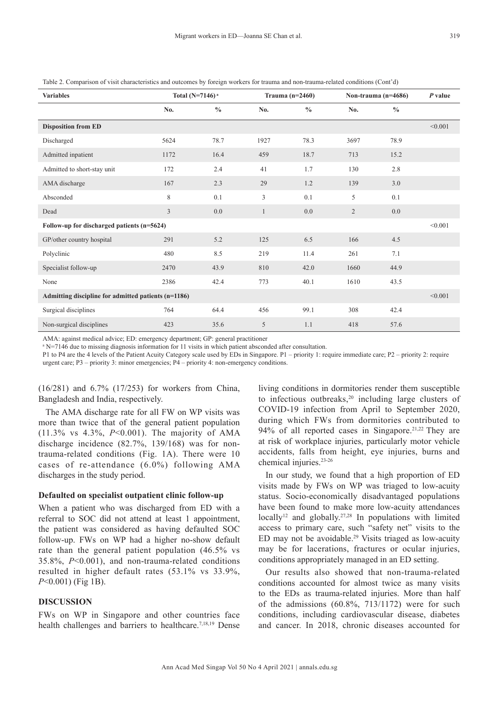| <b>Variables</b>                                    | Total (N=7146) <sup>a</sup> |               | Trauma $(n=2460)$ |               | Non-trauma (n=4686) |               | $P$ value |
|-----------------------------------------------------|-----------------------------|---------------|-------------------|---------------|---------------------|---------------|-----------|
|                                                     | No.                         | $\frac{0}{0}$ | No.               | $\frac{0}{0}$ | No.                 | $\frac{0}{0}$ |           |
| <b>Disposition from ED</b>                          |                             |               |                   |               |                     |               | < 0.001   |
| Discharged                                          | 5624                        | 78.7          | 1927              | 78.3          | 3697                | 78.9          |           |
| Admitted inpatient                                  | 1172                        | 16.4          | 459               | 18.7          | 713                 | 15.2          |           |
| Admitted to short-stay unit                         | 172                         | 2.4           | 41                | 1.7           | 130                 | 2.8           |           |
| AMA discharge                                       | 167                         | 2.3           | 29                | 1.2           | 139                 | $3.0\,$       |           |
| Absconded                                           | 8                           | 0.1           | 3                 | 0.1           | 5                   | 0.1           |           |
| Dead                                                | 3                           | 0.0           | $\mathbf{1}$      | 0.0           | $\overline{2}$      | 0.0           |           |
| Follow-up for discharged patients (n=5624)          |                             |               |                   |               |                     |               | < 0.001   |
| GP/other country hospital                           | 291                         | 5.2           | 125               | 6.5           | 166                 | 4.5           |           |
| Polyclinic                                          | 480                         | 8.5           | 219               | 11.4          | 261                 | 7.1           |           |
| Specialist follow-up                                | 2470                        | 43.9          | 810               | 42.0          | 1660                | 44.9          |           |
| None                                                | 2386                        | 42.4          | 773               | 40.1          | 1610                | 43.5          |           |
| Admitting discipline for admitted patients (n=1186) |                             |               |                   |               |                     |               | < 0.001   |
| Surgical disciplines                                | 764                         | 64.4          | 456               | 99.1          | 308                 | 42.4          |           |
| Non-surgical disciplines                            | 423                         | 35.6          | 5                 | 1.1           | 418                 | 57.6          |           |

Table 2. Comparison of visit characteristics and outcomes by foreign workers for trauma and non-trauma-related conditions (Cont'd)

AMA: against medical advice; ED: emergency department; GP: general practitioner

<sup>a</sup> N=7146 due to missing diagnosis information for 11 visits in which patient absconded after consultation.

P1 to P4 are the 4 levels of the Patient Acuity Category scale used by EDs in Singapore. P1 – priority 1: require immediate care; P2 – priority 2: require urgent care; P3 – priority 3: minor emergencies; P4 – priority 4: non-emergency conditions.

(16/281) and 6.7% (17/253) for workers from China, Bangladesh and India, respectively.

The AMA discharge rate for all FW on WP visits was more than twice that of the general patient population (11.3% vs 4.3%, *P*<0.001). The majority of AMA discharge incidence (82.7%, 139/168) was for nontrauma-related conditions (Fig. 1A). There were 10 cases of re-attendance (6.0%) following AMA discharges in the study period.

#### **Defaulted on specialist outpatient clinic follow-up**

When a patient who was discharged from ED with a referral to SOC did not attend at least 1 appointment, the patient was considered as having defaulted SOC follow-up. FWs on WP had a higher no-show default rate than the general patient population (46.5% vs 35.8%, *P*<0.001), and non-trauma-related conditions resulted in higher default rates (53.1% vs 33.9%, *P*<0.001) (Fig 1B).

## **DISCUSSION**

FWs on WP in Singapore and other countries face health challenges and barriers to healthcare.<sup>7,18,19</sup> Dense

living conditions in dormitories render them susceptible to infectious outbreaks,<sup>20</sup> including large clusters of COVID-19 infection from April to September 2020, during which FWs from dormitories contributed to 94% of all reported cases in Singapore.<sup>21,22</sup> They are at risk of workplace injuries, particularly motor vehicle accidents, falls from height, eye injuries, burns and chemical injuries.23-26

In our study, we found that a high proportion of ED visits made by FWs on WP was triaged to low-acuity status. Socio-economically disadvantaged populations have been found to make more low-acuity attendances locally<sup>12</sup> and globally.<sup>27,28</sup> In populations with limited access to primary care, such "safety net" visits to the ED may not be avoidable.<sup>29</sup> Visits triaged as low-acuity may be for lacerations, fractures or ocular injuries, conditions appropriately managed in an ED setting.

Our results also showed that non-trauma-related conditions accounted for almost twice as many visits to the EDs as trauma-related injuries. More than half of the admissions (60.8%, 713/1172) were for such conditions, including cardiovascular disease, diabetes and cancer. In 2018, chronic diseases accounted for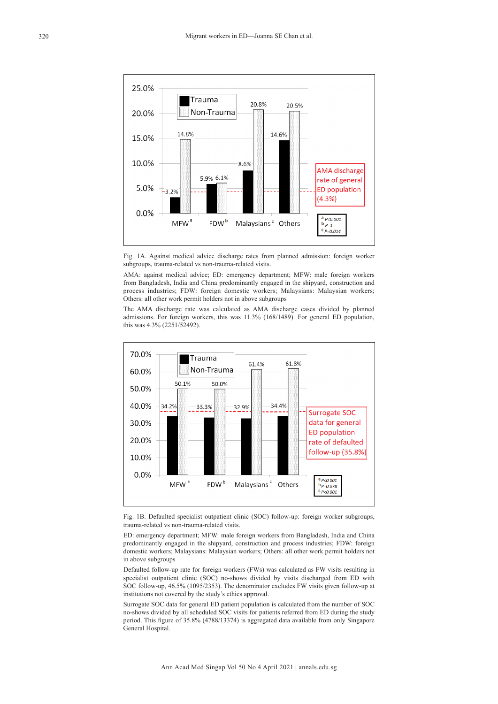

Fig. 1A. Against medical advice discharge rates from planned admission: foreign worker subgroups, trauma-related vs non-trauma-related visits.

AMA: against medical advice; ED: emergency department; MFW: male foreign workers from Bangladesh, India and China predominantly engaged in the shipyard, construction and process industries; FDW: foreign domestic workers; Malaysians: Malaysian workers; Others: all other work permit holders not in above subgroups

The AMA discharge rate was calculated as AMA discharge cases divided by planned admissions. For foreign workers, this was 11.3% (168/1489). For general ED population, this was 4.3% (2251/52492).



Fig. 1B. Defaulted specialist outpatient clinic (SOC) follow-up: foreign worker subgroups, trauma-related vs non-trauma-related visits.

ED: emergency department; MFW: male foreign workers from Bangladesh, India and China predominantly engaged in the shipyard, construction and process industries; FDW: foreign domestic workers; Malaysians: Malaysian workers; Others: all other work permit holders not in above subgroups

Defaulted follow-up rate for foreign workers (FWs) was calculated as FW visits resulting in specialist outpatient clinic (SOC) no-shows divided by visits discharged from ED with SOC follow-up, 46.5% (1095/2353). The denominator excludes FW visits given follow-up at institutions not covered by the study's ethics approval.

Surrogate SOC data for general ED patient population is calculated from the number of SOC no-shows divided by all scheduled SOC visits for patients referred from ED during the study period. This figure of 35.8% (4788/13374) is aggregated data available from only Singapore General Hospital.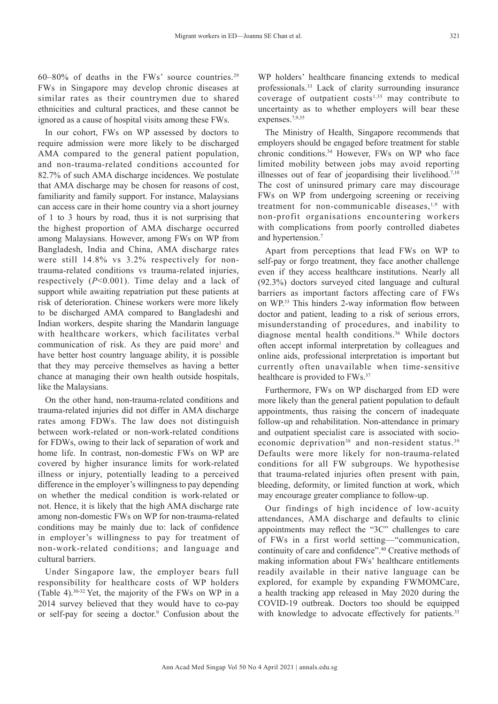$60-80\%$  of deaths in the FWs' source countries.<sup>29</sup> FWs in Singapore may develop chronic diseases at similar rates as their countrymen due to shared ethnicities and cultural practices, and these cannot be ignored as a cause of hospital visits among these FWs.

In our cohort, FWs on WP assessed by doctors to require admission were more likely to be discharged AMA compared to the general patient population, and non-trauma-related conditions accounted for 82.7% of such AMA discharge incidences. We postulate that AMA discharge may be chosen for reasons of cost, familiarity and family support. For instance, Malaysians can access care in their home country via a short journey of 1 to 3 hours by road, thus it is not surprising that the highest proportion of AMA discharge occurred among Malaysians. However, among FWs on WP from Bangladesh, India and China, AMA discharge rates were still 14.8% vs 3.2% respectively for nontrauma-related conditions vs trauma-related injuries, respectively (*P*<0.001). Time delay and a lack of support while awaiting repatriation put these patients at risk of deterioration. Chinese workers were more likely to be discharged AMA compared to Bangladeshi and Indian workers, despite sharing the Mandarin language with healthcare workers, which facilitates verbal communication of risk. As they are paid more<sup>1</sup> and have better host country language ability, it is possible that they may perceive themselves as having a better chance at managing their own health outside hospitals, like the Malaysians.

On the other hand, non-trauma-related conditions and trauma-related injuries did not differ in AMA discharge rates among FDWs. The law does not distinguish between work-related or non-work-related conditions for FDWs, owing to their lack of separation of work and home life. In contrast, non-domestic FWs on WP are covered by higher insurance limits for work-related illness or injury, potentially leading to a perceived difference in the employer's willingness to pay depending on whether the medical condition is work-related or not. Hence, it is likely that the high AMA discharge rate among non-domestic FWs on WP for non-trauma-related conditions may be mainly due to: lack of confidence in employer's willingness to pay for treatment of non-work-related conditions; and language and cultural barriers.

Under Singapore law, the employer bears full responsibility for healthcare costs of WP holders (Table 4).<sup>30-32</sup> Yet, the majority of the FWs on WP in a 2014 survey believed that they would have to co-pay or self-pay for seeing a doctor.<sup>9</sup> Confusion about the WP holders' healthcare financing extends to medical professionals.33 Lack of clarity surrounding insurance coverage of outpatient costs<sup>1,33</sup> may contribute to uncertainty as to whether employers will bear these expenses.7,9,35

The Ministry of Health, Singapore recommends that employers should be engaged before treatment for stable chronic conditions.<sup>34</sup> However, FWs on WP who face limited mobility between jobs may avoid reporting illnesses out of fear of jeopardising their livelihood.<sup>7,10</sup> The cost of uninsured primary care may discourage FWs on WP from undergoing screening or receiving treatment for non-communicable diseases,<sup>1,9</sup> with non-profit organisations encountering workers with complications from poorly controlled diabetes and hypertension.7

Apart from perceptions that lead FWs on WP to self-pay or forgo treatment, they face another challenge even if they access healthcare institutions. Nearly all (92.3%) doctors surveyed cited language and cultural barriers as important factors affecting care of FWs on WP.33 This hinders 2-way information flow between doctor and patient, leading to a risk of serious errors, misunderstanding of procedures, and inability to diagnose mental health conditions.36 While doctors often accept informal interpretation by colleagues and online aids, professional interpretation is important but currently often unavailable when time-sensitive healthcare is provided to FWs.<sup>37</sup>

Furthermore, FWs on WP discharged from ED were more likely than the general patient population to default appointments, thus raising the concern of inadequate follow-up and rehabilitation. Non-attendance in primary and outpatient specialist care is associated with socioeconomic deprivation<sup>38</sup> and non-resident status.<sup>39</sup> Defaults were more likely for non-trauma-related conditions for all FW subgroups. We hypothesise that trauma-related injuries often present with pain, bleeding, deformity, or limited function at work, which may encourage greater compliance to follow-up.

Our findings of high incidence of low-acuity attendances, AMA discharge and defaults to clinic appointments may reflect the "3C" challenges to care of FWs in a first world setting—"communication, continuity of care and confidence".40 Creative methods of making information about FWs' healthcare entitlements readily available in their native language can be explored, for example by expanding FWMOMCare, a health tracking app released in May 2020 during the COVID-19 outbreak. Doctors too should be equipped with knowledge to advocate effectively for patients.<sup>33</sup>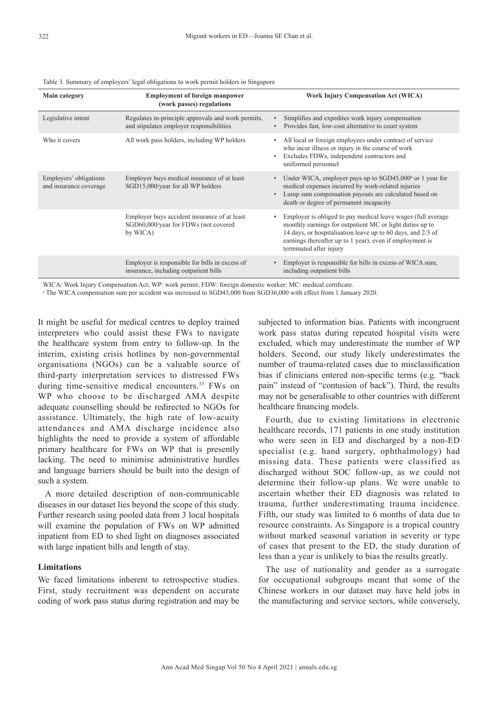| <b>Main category</b>                             | <b>Employment of foreign manpower</b><br>(work passes) regulations                               | <b>Work Injury Compensation Act (WICA)</b>                                                                                                                                                                                                                                     |
|--------------------------------------------------|--------------------------------------------------------------------------------------------------|--------------------------------------------------------------------------------------------------------------------------------------------------------------------------------------------------------------------------------------------------------------------------------|
| Legislative intent                               | Regulates in-principle approvals and work permits,<br>and stipulates employer responsibilities   | Simplifies and expedites work injury compensation<br>Provides fast, low-cost alternative to court system                                                                                                                                                                       |
| Who it covers                                    | All work pass holders, including WP holders                                                      | All local or foreign employees under contract of service<br>who incur illness or injury in the course of work<br>Excludes FDWs, independent contractors and<br>٠<br>uniformed personnel                                                                                        |
| Employers' obligations<br>and insurance coverage | Employer buys medical insurance of at least<br>SGD15,000/year for all WP holders                 | Under WICA, employer pays up to $SGD45,000^{\circ}$ or 1 year for<br>medical expenses incurred by work-related injuries<br>Lump sum compensation payouts are calculated based on<br>$\bullet$<br>death or degree of permanent incapacity                                       |
|                                                  | Employer buys accident insurance of at least<br>SGD60,000/year for FDWs (not covered<br>by WICA) | Employer is obliged to pay medical leave wages (full average<br>monthly earnings for outpatient MC or light duties up to<br>14 days, or hospitalisation leave up to 60 days, and 2/3 of<br>earnings thereafter up to 1 year), even if employment is<br>terminated after injury |
|                                                  | Employer is responsible for bills in excess of<br>insurance, including outpatient bills          | Employer is responsible for bills in excess of WICA sum,<br>including outpatient bills                                                                                                                                                                                         |

Table 3. Summary of employers' legal obligations to work permit holders in Singapore

WICA: Work Injury Compensation Act; WP: work permit; FDW: foreign domestic worker; MC: medical certificate.

a The WICA compensation sum per accident was increased to SGD45,000 from SGD36,000 with effect from 1 January 2020.

It might be useful for medical centres to deploy trained interpreters who could assist these FWs to navigate the healthcare system from entry to follow-up. In the interim, existing crisis hotlines by non-governmental organisations (NGOs) can be a valuable source of third-party interpretation services to distressed FWs during time-sensitive medical encounters.<sup>33</sup> FWs on WP who choose to be discharged AMA despite adequate counselling should be redirected to NGOs for assistance. Ultimately, the high rate of low-acuity attendances and AMA discharge incidence also highlights the need to provide a system of affordable primary healthcare for FWs on WP that is presently lacking. The need to minimise administrative hurdles and language barriers should be built into the design of such a system.

A more detailed description of non-communicable diseases in our dataset lies beyond the scope of this study. Further research using pooled data from 3 local hospitals will examine the population of FWs on WP admitted inpatient from ED to shed light on diagnoses associated with large inpatient bills and length of stay.

#### **Limitations**

We faced limitations inherent to retrospective studies. First, study recruitment was dependent on accurate coding of work pass status during registration and may be subjected to information bias. Patients with incongruent work pass status during repeated hospital visits were excluded, which may underestimate the number of WP holders. Second, our study likely underestimates the number of trauma-related cases due to misclassification bias if clinicians entered non-specific terms (e.g. "back pain" instead of "contusion of back"). Third, the results may not be generalisable to other countries with different healthcare financing models.

Fourth, due to existing limitations in electronic healthcare records, 171 patients in one study institution who were seen in ED and discharged by a non-ED specialist (e.g. hand surgery, ophthalmology) had missing data. These patients were classified as discharged without SOC follow-up, as we could not determine their follow-up plans. We were unable to ascertain whether their ED diagnosis was related to trauma, further underestimating trauma incidence. Fifth, our study was limited to 6 months of data due to resource constraints. As Singapore is a tropical country without marked seasonal variation in severity or type of cases that present to the ED, the study duration of less than a year is unlikely to bias the results greatly.

The use of nationality and gender as a surrogate for occupational subgroups meant that some of the Chinese workers in our dataset may have held jobs in the manufacturing and service sectors, while conversely,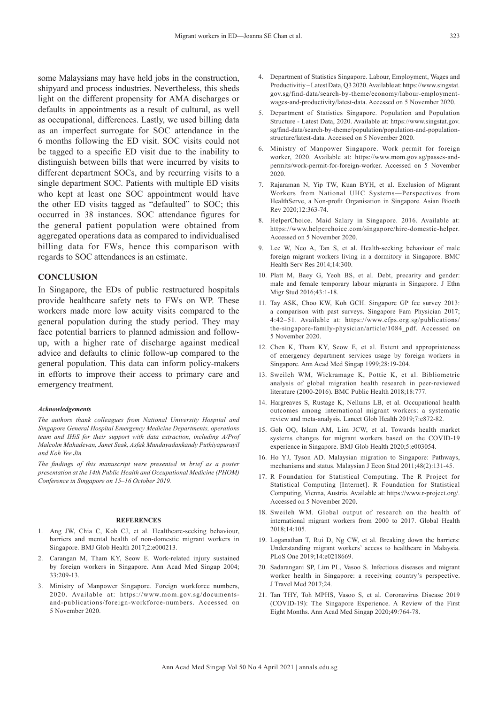some Malaysians may have held jobs in the construction, shipyard and process industries. Nevertheless, this sheds light on the different propensity for AMA discharges or defaults in appointments as a result of cultural, as well as occupational, differences. Lastly, we used billing data as an imperfect surrogate for SOC attendance in the 6 months following the ED visit. SOC visits could not be tagged to a specific ED visit due to the inability to distinguish between bills that were incurred by visits to different department SOCs, and by recurring visits to a single department SOC. Patients with multiple ED visits who kept at least one SOC appointment would have the other ED visits tagged as "defaulted" to SOC; this occurred in 38 instances. SOC attendance figures for the general patient population were obtained from aggregated operations data as compared to individualised billing data for FWs, hence this comparison with regards to SOC attendances is an estimate.

#### **CONCLUSION**

In Singapore, the EDs of public restructured hospitals provide healthcare safety nets to FWs on WP. These workers made more low acuity visits compared to the general population during the study period. They may face potential barriers to planned admission and followup, with a higher rate of discharge against medical advice and defaults to clinic follow-up compared to the general population. This data can inform policy-makers in efforts to improve their access to primary care and emergency treatment.

#### *Acknowledgements*

*The authors thank colleagues from National University Hospital and Singapore General Hospital Emergency Medicine Departments, operations team and IHiS for their support with data extraction, including A/Prof Malcolm Mahadevan, Janet Seak, Asfak Mundayadankandy Puthiyapurayil and Koh Yee Jin.*

*The findings of this manuscript were presented in brief as a poster presentation at the 14th Public Health and Occupational Medicine (PHOM) Conference in Singapore on 15–16 October 2019.*

#### **REFERENCES**

- 1. Ang JW, Chia C, Koh CJ, et al. Healthcare-seeking behaviour, barriers and mental health of non-domestic migrant workers in Singapore. BMJ Glob Health 2017;2:e000213.
- 2. Carangan M, Tham KY, Seow E. Work-related injury sustained by foreign workers in Singapore. Ann Acad Med Singap 2004; 33:209-13.
- 3. Ministry of Manpower Singapore. Foreign workforce numbers, 2020. Available at: https://www.mom.gov.sg/documentsand-publications/foreign-workforce-numbers. Accessed on 5 November 2020.
- 4. Department of Statistics Singapore. Labour, Employment, Wages and Productivitiy – Latest Data, Q3 2020. Available at: https://www.singstat. gov.sg/find-data/search-by-theme/economy/labour-employmentwages-and-productivity/latest-data. Accessed on 5 November 2020.
- 5. Department of Statistics Singapore. Population and Population Structure - Latest Data, 2020. Available at: https://www.singstat.gov. sg/find-data/search-by-theme/population/population-and-populationstructure/latest-data. Accessed on 5 November 2020.
- 6. Ministry of Manpower Singapore. Work permit for foreign worker, 2020. Available at: https://www.mom.gov.sg/passes-andpermits/work-permit-for-foreign-worker. Accessed on 5 November 2020.
- 7. Rajaraman N, Yip TW, Kuan BYH, et al. Exclusion of Migrant Workers from National UHC Systems—Perspectives from HealthServe, a Non-profit Organisation in Singapore. Asian Bioeth Rev 2020;12:363-74.
- 8. HelperChoice. Maid Salary in Singapore. 2016. Available at: https://www.helperchoice.com/singapore/hire-domestic-helper. Accessed on 5 November 2020.
- 9. Lee W, Neo A, Tan S, et al. Health-seeking behaviour of male foreign migrant workers living in a dormitory in Singapore. BMC Health Serv Res 2014;14:300.
- 10. Platt M, Baey G, Yeoh BS, et al. Debt, precarity and gender: male and female temporary labour migrants in Singapore. J Ethn Migr Stud 2016;43:1-18.
- 11. Tay ASK, Choo KW, Koh GCH. Singapore GP fee survey 2013: a comparison with past surveys. Singapore Fam Physician 2017; 4:42–51. Available at: https://www.cfps.org.sg/publications/ the-singapore-family-physician/article/1084\_pdf. Accessed on 5 November 2020.
- 12. Chen K, Tham KY, Seow E, et al. Extent and appropriateness of emergency department services usage by foreign workers in Singapore. Ann Acad Med Singap 1999;28:19-204.
- 13. Sweileh WM, Wickramage K, Pottie K, et al. Bibliometric analysis of global migration health research in peer-reviewed literature (2000-2016). BMC Public Health 2018;18:777.
- 14. Hargreaves S, Rustage K, Nellums LB, et al. Occupational health outcomes among international migrant workers: a systematic review and meta-analysis. Lancet Glob Health 2019;7:e872-82.
- 15. Goh OQ, Islam AM, Lim JCW, et al. Towards health market systems changes for migrant workers based on the COVID-19 experience in Singapore. BMJ Glob Health 2020;5:e003054.
- 16. Ho YJ, Tyson AD. Malaysian migration to Singapore: Pathways, mechanisms and status. Malaysian J Econ Stud 2011;48(2):131-45.
- 17. R Foundation for Statistical Computing. The R Project for Statistical Computing [Internet]. R Foundation for Statistical Computing, Vienna, Austria. Available at: https://www.r-project.org/. Accessed on 5 November 2020.
- 18. Sweileh WM. Global output of research on the health of international migrant workers from 2000 to 2017. Global Health 2018;14:105.
- 19. Loganathan T, Rui D, Ng CW, et al. Breaking down the barriers: Understanding migrant workers' access to healthcare in Malaysia. PLoS One 2019;14:e0218669.
- 20. Sadarangani SP, Lim PL, Vasoo S. Infectious diseases and migrant worker health in Singapore: a receiving country's perspective. J Travel Med 2017;24.
- 21. Tan THY, Toh MPHS, Vasoo S, et al. Coronavirus Disease 2019 (COVID-19): The Singapore Experience. A Review of the First Eight Months. Ann Acad Med Singap 2020;49:764-78.